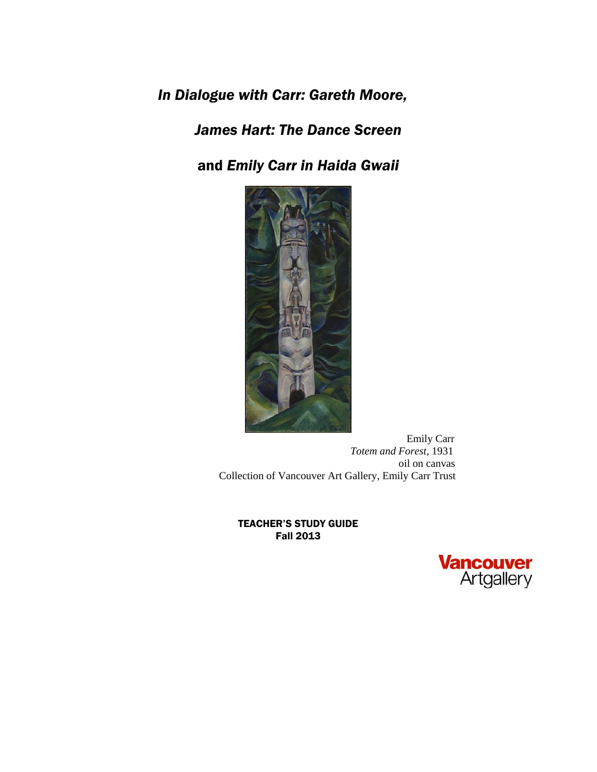*In Dialogue with Carr: Gareth Moore,* 

# *James Hart: The Dance Screen*

and *Emily Carr in Haida Gwaii* 



 Emily Carr *Totem and Forest,* 1931 oil on canvas Collection of Vancouver Art Gallery, Emily Carr Trust

TEACHER'S STUDY GUIDE Fall 2013

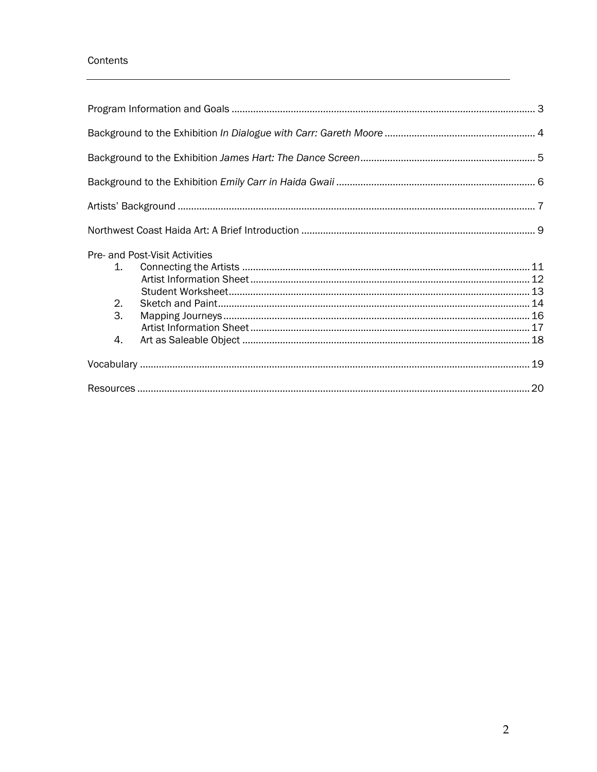### Contents

|         | Pre- and Post-Visit Activities |  |  |  |
|---------|--------------------------------|--|--|--|
| $1_{-}$ |                                |  |  |  |
| 2.      |                                |  |  |  |
| 3.      |                                |  |  |  |
| 4.      |                                |  |  |  |
|         |                                |  |  |  |
|         |                                |  |  |  |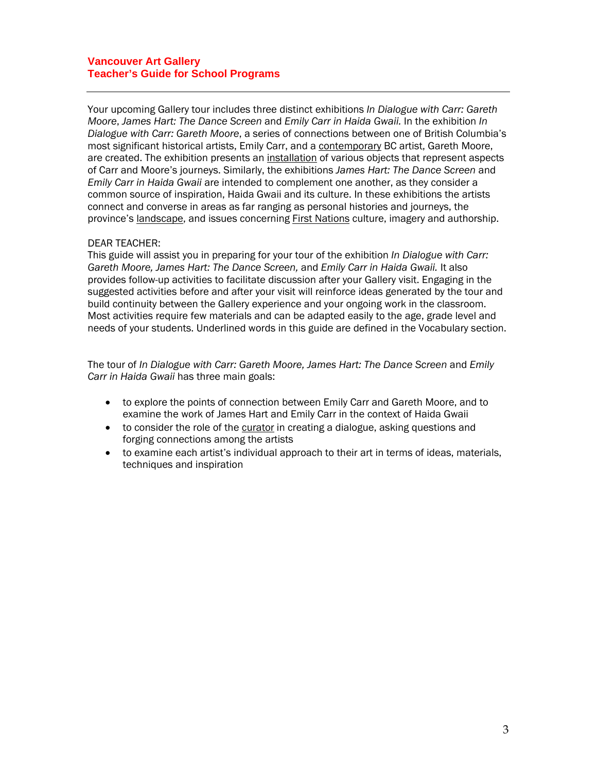Your upcoming Gallery tour includes three distinct exhibitions *In Dialogue with Carr: Gareth Moore*, *James Hart: The Dance Screen* and *Emily Carr in Haida Gwaii.* In the exhibition *In Dialogue with Carr: Gareth Moore*, a series of connections between one of British Columbia's most significant historical artists, Emily Carr, and a contemporary BC artist, Gareth Moore, are created. The exhibition presents an installation of various objects that represent aspects of Carr and Moore's journeys. Similarly, the exhibitions *James Hart: The Dance Screen* and *Emily Carr in Haida Gwaii* are intended to complement one another, as they consider a common source of inspiration, Haida Gwaii and its culture. In these exhibitions the artists connect and converse in areas as far ranging as personal histories and journeys, the province's landscape, and issues concerning First Nations culture, imagery and authorship.

#### DEAR TEACHER:

This guide will assist you in preparing for your tour of the exhibition *In Dialogue with Carr: Gareth Moore, James Hart: The Dance Screen,* and *Emily Carr in Haida Gwaii.* It also provides follow-up activities to facilitate discussion after your Gallery visit. Engaging in the suggested activities before and after your visit will reinforce ideas generated by the tour and build continuity between the Gallery experience and your ongoing work in the classroom. Most activities require few materials and can be adapted easily to the age, grade level and needs of your students. Underlined words in this guide are defined in the Vocabulary section.

The tour of *In Dialogue with Carr: Gareth Moore, James Hart: The Dance Screen and Emily Carr in Haida Gwaii* has three main goals:

- to explore the points of connection between Emily Carr and Gareth Moore, and to examine the work of James Hart and Emily Carr in the context of Haida Gwaii
- to consider the role of the curator in creating a dialogue, asking questions and forging connections among the artists
- to examine each artist's individual approach to their art in terms of ideas, materials, techniques and inspiration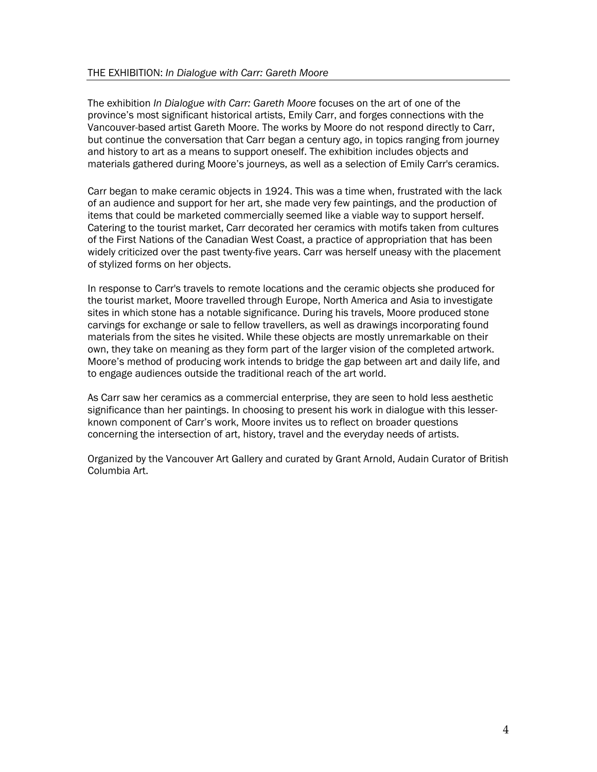The exhibition *In Dialogue with Carr: Gareth Moore* focuses on the art of one of the province's most significant historical artists, Emily Carr, and forges connections with the Vancouver-based artist Gareth Moore. The works by Moore do not respond directly to Carr, but continue the conversation that Carr began a century ago, in topics ranging from journey and history to art as a means to support oneself. The exhibition includes objects and materials gathered during Moore's journeys, as well as a selection of Emily Carr's ceramics.

Carr began to make ceramic objects in 1924. This was a time when, frustrated with the lack of an audience and support for her art, she made very few paintings, and the production of items that could be marketed commercially seemed like a viable way to support herself. Catering to the tourist market, Carr decorated her ceramics with motifs taken from cultures of the First Nations of the Canadian West Coast, a practice of appropriation that has been widely criticized over the past twenty-five years. Carr was herself uneasy with the placement of stylized forms on her objects.

In response to Carr's travels to remote locations and the ceramic objects she produced for the tourist market, Moore travelled through Europe, North America and Asia to investigate sites in which stone has a notable significance. During his travels, Moore produced stone carvings for exchange or sale to fellow travellers, as well as drawings incorporating found materials from the sites he visited. While these objects are mostly unremarkable on their own, they take on meaning as they form part of the larger vision of the completed artwork. Moore's method of producing work intends to bridge the gap between art and daily life, and to engage audiences outside the traditional reach of the art world.

As Carr saw her ceramics as a commercial enterprise, they are seen to hold less aesthetic significance than her paintings. In choosing to present his work in dialogue with this lesserknown component of Carr's work, Moore invites us to reflect on broader questions concerning the intersection of art, history, travel and the everyday needs of artists.

Organized by the Vancouver Art Gallery and curated by Grant Arnold, Audain Curator of British Columbia Art.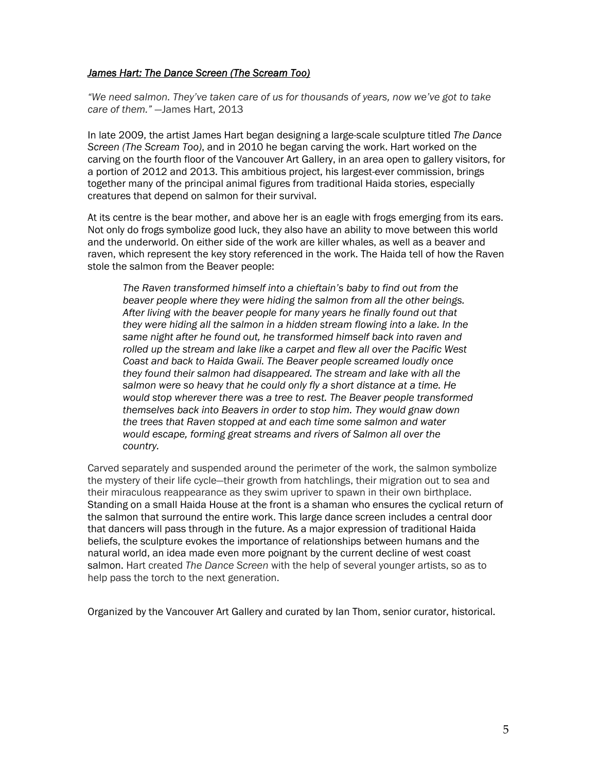#### *James Hart: The Dance Screen (The Scream Too)*

*"We need salmon. They've taken care of us for thousands of years, now we've got to take care of them."* —James Hart, 2013

In late 2009, the artist James Hart began designing a large-scale sculpture titled *The Dance Screen (The Scream Too)*, and in 2010 he began carving the work. Hart worked on the carving on the fourth floor of the Vancouver Art Gallery, in an area open to gallery visitors, for a portion of 2012 and 2013. This ambitious project, his largest-ever commission, brings together many of the principal animal figures from traditional Haida stories, especially creatures that depend on salmon for their survival.

At its centre is the bear mother, and above her is an eagle with frogs emerging from its ears. Not only do frogs symbolize good luck, they also have an ability to move between this world and the underworld. On either side of the work are killer whales, as well as a beaver and raven, which represent the key story referenced in the work. The Haida tell of how the Raven stole the salmon from the Beaver people:

*The Raven transformed himself into a chieftain's baby to find out from the beaver people where they were hiding the salmon from all the other beings. After living with the beaver people for many years he finally found out that they were hiding all the salmon in a hidden stream flowing into a lake. In the same night after he found out, he transformed himself back into raven and*  rolled up the stream and lake like a carpet and flew all over the Pacific West *Coast and back to Haida Gwaii. The Beaver people screamed loudly once they found their salmon had disappeared. The stream and lake with all the salmon were so heavy that he could only fly a short distance at a time. He would stop wherever there was a tree to rest. The Beaver people transformed themselves back into Beavers in order to stop him. They would gnaw down the trees that Raven stopped at and each time some salmon and water would escape, forming great streams and rivers of Salmon all over the country.* 

Carved separately and suspended around the perimeter of the work, the salmon symbolize the mystery of their life cycle—their growth from hatchlings, their migration out to sea and their miraculous reappearance as they swim upriver to spawn in their own birthplace. Standing on a small Haida House at the front is a shaman who ensures the cyclical return of the salmon that surround the entire work. This large dance screen includes a central door that dancers will pass through in the future. As a major expression of traditional Haida beliefs, the sculpture evokes the importance of relationships between humans and the natural world, an idea made even more poignant by the current decline of west coast salmon. Hart created *The Dance Screen* with the help of several younger artists, so as to help pass the torch to the next generation.

Organized by the Vancouver Art Gallery and curated by Ian Thom, senior curator, historical.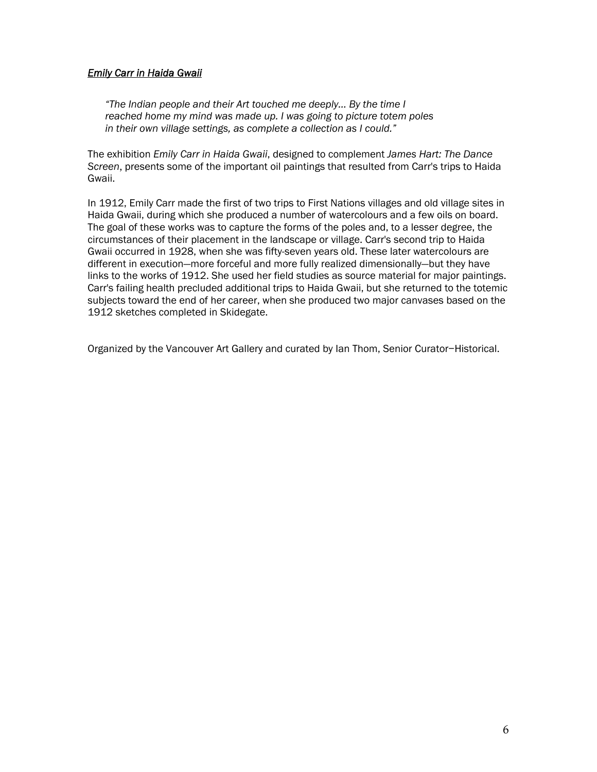### *Emily Carr in Haida Gwaii*

*"The Indian people and their Art touched me deeply… By the time I reached home my mind was made up. I was going to picture totem poles in their own village settings, as complete a collection as I could."* 

The exhibition *Emily Carr in Haida Gwaii*, designed to complement *James Hart: The Dance Screen*, presents some of the important oil paintings that resulted from Carr's trips to Haida Gwaii.

In 1912, Emily Carr made the first of two trips to First Nations villages and old village sites in Haida Gwaii, during which she produced a number of watercolours and a few oils on board. The goal of these works was to capture the forms of the poles and, to a lesser degree, the circumstances of their placement in the landscape or village. Carr's second trip to Haida Gwaii occurred in 1928, when she was fifty-seven years old. These later watercolours are different in execution—more forceful and more fully realized dimensionally—but they have links to the works of 1912. She used her field studies as source material for major paintings. Carr's failing health precluded additional trips to Haida Gwaii, but she returned to the totemic subjects toward the end of her career, when she produced two major canvases based on the 1912 sketches completed in Skidegate.

Organized by the Vancouver Art Gallery and curated by Ian Thom, Senior Curator−Historical.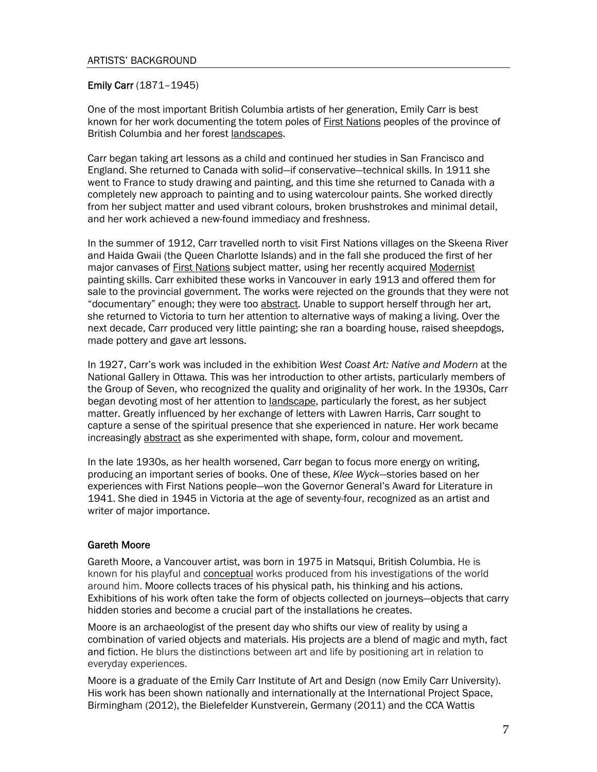#### ARTISTS' BACKGROUND

#### Emily Carr (1871–1945)

One of the most important British Columbia artists of her generation, Emily Carr is best known for her work documenting the totem poles of First Nations peoples of the province of British Columbia and her forest landscapes.

Carr began taking art lessons as a child and continued her studies in San Francisco and England. She returned to Canada with solid—if conservative—technical skills. In 1911 she went to France to study drawing and painting, and this time she returned to Canada with a completely new approach to painting and to using watercolour paints. She worked directly from her subject matter and used vibrant colours, broken brushstrokes and minimal detail, and her work achieved a new-found immediacy and freshness.

In the summer of 1912, Carr travelled north to visit First Nations villages on the Skeena River and Haida Gwaii (the Queen Charlotte Islands) and in the fall she produced the first of her major canvases of First Nations subject matter, using her recently acquired Modernist painting skills. Carr exhibited these works in Vancouver in early 1913 and offered them for sale to the provincial government. The works were rejected on the grounds that they were not "documentary" enough; they were too abstract. Unable to support herself through her art, she returned to Victoria to turn her attention to alternative ways of making a living. Over the next decade, Carr produced very little painting; she ran a boarding house, raised sheepdogs, made pottery and gave art lessons.

In 1927, Carr's work was included in the exhibition *West Coast Art: Native and Modern* at the National Gallery in Ottawa*.* This was her introduction to other artists, particularly members of the Group of Seven, who recognized the quality and originality of her work. In the 1930s, Carr began devoting most of her attention to landscape, particularly the forest, as her subject matter. Greatly influenced by her exchange of letters with Lawren Harris, Carr sought to capture a sense of the spiritual presence that she experienced in nature. Her work became increasingly abstract as she experimented with shape, form, colour and movement.

In the late 1930s, as her health worsened, Carr began to focus more energy on writing, producing an important series of books. One of these, *Klee Wyck—*stories based on her experiences with First Nations people—won the Governor General's Award for Literature in 1941. She died in 1945 in Victoria at the age of seventy-four, recognized as an artist and writer of major importance.

### Gareth Moore

Gareth Moore, a Vancouver artist, was born in 1975 in Matsqui, British Columbia. He is known for his playful and conceptual works produced from his investigations of the world around him. Moore collects traces of his physical path, his thinking and his actions. Exhibitions of his work often take the form of objects collected on journeys—objects that carry hidden stories and become a crucial part of the installations he creates.

Moore is an archaeologist of the present day who shifts our view of reality by using a combination of varied objects and materials. His projects are a blend of magic and myth, fact and fiction. He blurs the distinctions between art and life by positioning art in relation to everyday experiences.

Moore is a graduate of the Emily Carr Institute of Art and Design (now Emily Carr University). His work has been shown nationally and internationally at the International Project Space, Birmingham (2012), the Bielefelder Kunstverein, Germany (2011) and the CCA Wattis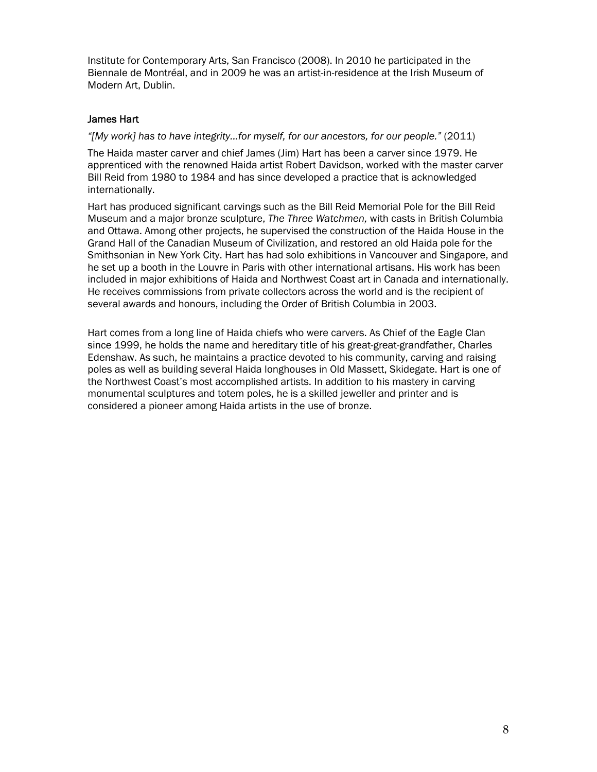Institute for Contemporary Arts, San Francisco (2008). In 2010 he participated in the Biennale de Montréal, and in 2009 he was an artist-in-residence at the Irish Museum of Modern Art, Dublin.

### James Hart

*"[My work] has to have integrity…for myself, for our ancestors, for our people."* (2011)

The Haida master carver and chief James (Jim) Hart has been a carver since 1979. He apprenticed with the renowned Haida artist Robert Davidson, worked with the master carver Bill Reid from 1980 to 1984 and has since developed a practice that is acknowledged internationally.

Hart has produced significant carvings such as the Bill Reid Memorial Pole for the Bill Reid Museum and a major bronze sculpture, *The Three Watchmen,* with casts in British Columbia and Ottawa. Among other projects, he supervised the construction of the Haida House in the Grand Hall of the Canadian Museum of Civilization, and restored an old Haida pole for the Smithsonian in New York City. Hart has had solo exhibitions in Vancouver and Singapore, and he set up a booth in the Louvre in Paris with other international artisans. His work has been included in major exhibitions of Haida and Northwest Coast art in Canada and internationally. He receives commissions from private collectors across the world and is the recipient of several awards and honours, including the Order of British Columbia in 2003.

Hart comes from a long line of Haida chiefs who were carvers. As Chief of the Eagle Clan since 1999, he holds the name and hereditary title of his great-great-grandfather, Charles Edenshaw. As such, he maintains a practice devoted to his community, carving and raising poles as well as building several Haida longhouses in Old Massett, Skidegate. Hart is one of the Northwest Coast's most accomplished artists. In addition to his mastery in carving monumental sculptures and totem poles, he is a skilled jeweller and printer and is considered a pioneer among Haida artists in the use of bronze.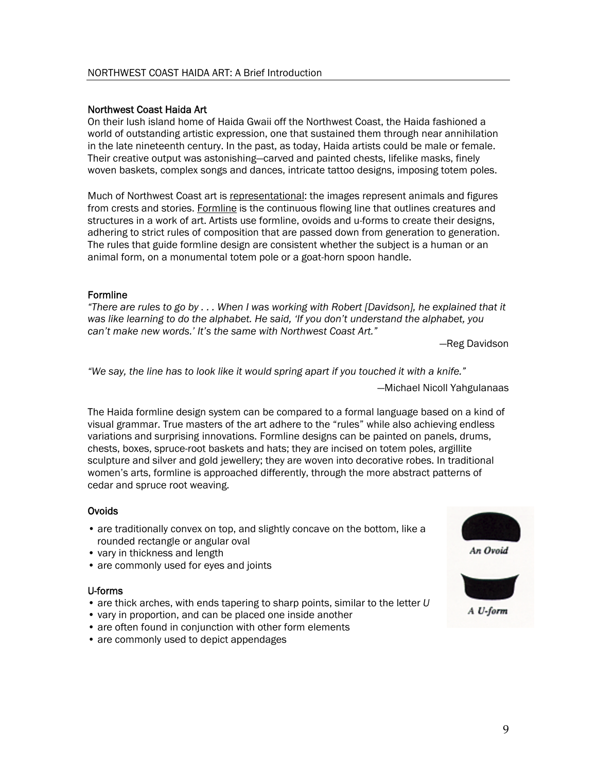### Northwest Coast Haida Art

On their lush island home of Haida Gwaii off the Northwest Coast, the Haida fashioned a world of outstanding artistic expression, one that sustained them through near annihilation in the late nineteenth century. In the past, as today, Haida artists could be male or female. Their creative output was astonishing—carved and painted chests, lifelike masks, finely woven baskets, complex songs and dances, intricate tattoo designs, imposing totem poles.

Much of Northwest Coast art is representational: the images represent animals and figures from crests and stories. Formline is the continuous flowing line that outlines creatures and structures in a work of art. Artists use formline, ovoids and u-forms to create their designs, adhering to strict rules of composition that are passed down from generation to generation. The rules that guide formline design are consistent whether the subject is a human or an animal form, on a monumental totem pole or a goat-horn spoon handle.

### Formline

*"There are rules to go by . . . When I was working with Robert [Davidson], he explained that it was like learning to do the alphabet. He said, 'If you don't understand the alphabet, you can't make new words.' It's the same with Northwest Coast Art."* 

—Reg Davidson

*"We say, the line has to look like it would spring apart if you touched it with a knife."* 

—Michael Nicoll Yahgulanaas

The Haida formline design system can be compared to a formal language based on a kind of visual grammar. True masters of the art adhere to the "rules" while also achieving endless variations and surprising innovations. Formline designs can be painted on panels, drums, chests, boxes, spruce-root baskets and hats; they are incised on totem poles, argillite sculpture and silver and gold jewellery; they are woven into decorative robes. In traditional women's arts, formline is approached differently, through the more abstract patterns of cedar and spruce root weaving.

### **Ovoids**

- *•* are traditionally convex on top, and slightly concave on the bottom, like a rounded rectangle or angular oval
- vary in thickness and length
- are commonly used for eyes and joints

#### U-forms

- are thick arches, with ends tapering to sharp points, similar to the letter *U*
- vary in proportion, and can be placed one inside another
- are often found in conjunction with other form elements
- are commonly used to depict appendages



An Ovoid



A U-form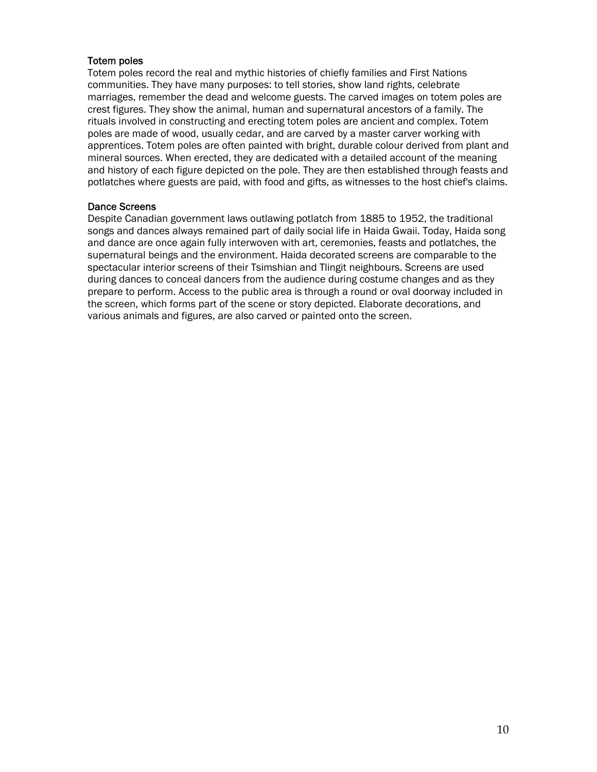### Totem poles

Totem poles record the real and mythic histories of chiefly families and First Nations communities. They have many purposes: to tell stories, show land rights, celebrate marriages, remember the dead and welcome guests. The carved images on totem poles are crest figures. They show the animal, human and supernatural ancestors of a family. The rituals involved in constructing and erecting totem poles are ancient and complex. Totem poles are made of wood, usually cedar, and are carved by a master carver working with apprentices. Totem poles are often painted with bright, durable colour derived from plant and mineral sources. When erected, they are dedicated with a detailed account of the meaning and history of each figure depicted on the pole. They are then established through feasts and potlatches where guests are paid, with food and gifts, as witnesses to the host chief's claims.

### Dance Screens

Despite Canadian government laws outlawing potlatch from 1885 to 1952, the traditional songs and dances always remained part of daily social life in Haida Gwaii. Today, Haida song and dance are once again fully interwoven with art, ceremonies, feasts and potlatches, the supernatural beings and the environment. Haida decorated screens are comparable to the spectacular interior screens of their Tsimshian and Tlingit neighbours. Screens are used during dances to conceal dancers from the audience during costume changes and as they prepare to perform. Access to the public area is through a round or oval doorway included in the screen, which forms part of the scene or story depicted. Elaborate decorations, and various animals and figures, are also carved or painted onto the screen.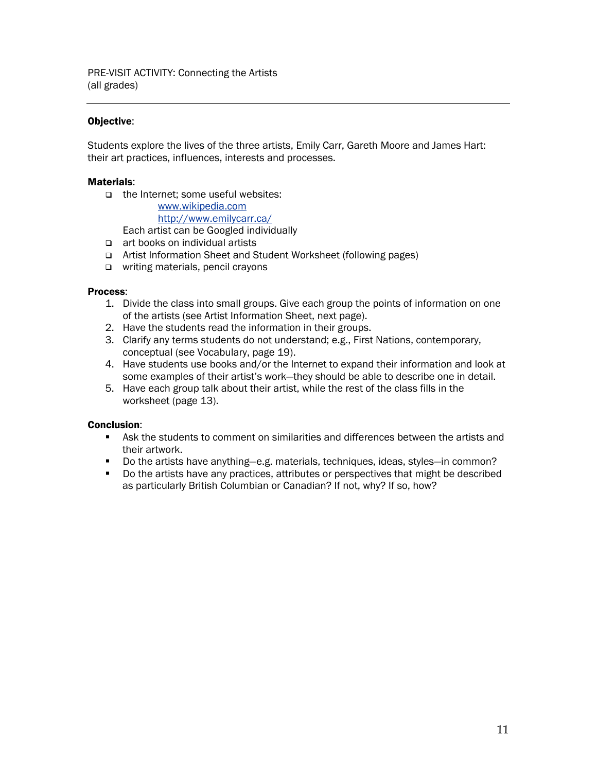### Objective:

Students explore the lives of the three artists, Emily Carr, Gareth Moore and James Hart: their art practices, influences, interests and processes.

#### Materials:

□ the Internet: some useful websites:

www.wikipedia.com http://www.emilycarr.ca/

Each artist can be Googled individually

- $\Box$  art books on individual artists
- Artist Information Sheet and Student Worksheet (following pages)
- □ writing materials, pencil crayons

#### Process:

- 1. Divide the class into small groups. Give each group the points of information on one of the artists (see Artist Information Sheet, next page).
- 2. Have the students read the information in their groups.
- 3. Clarify any terms students do not understand; e.g., First Nations, contemporary, conceptual (see Vocabulary, page 19).
- 4. Have students use books and/or the Internet to expand their information and look at some examples of their artist's work—they should be able to describe one in detail.
- 5. Have each group talk about their artist, while the rest of the class fills in the worksheet (page 13).

### Conclusion:

- Ask the students to comment on similarities and differences between the artists and their artwork.
- Do the artists have anything—e.g. materials, techniques, ideas, styles—in common?
- Do the artists have any practices, attributes or perspectives that might be described as particularly British Columbian or Canadian? If not, why? If so, how?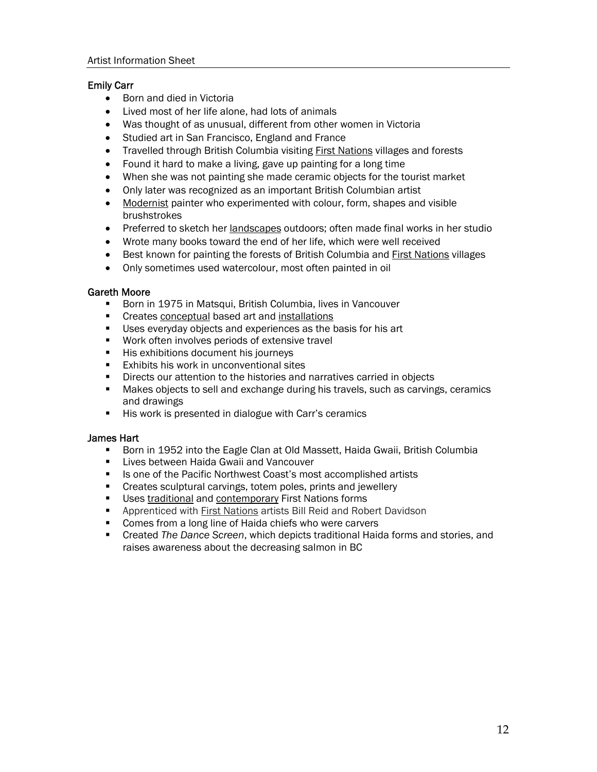### Emily Carr

- Born and died in Victoria
- Lived most of her life alone, had lots of animals
- Was thought of as unusual, different from other women in Victoria
- Studied art in San Francisco, England and France
- Travelled through British Columbia visiting First Nations villages and forests
- Found it hard to make a living, gave up painting for a long time
- When she was not painting she made ceramic objects for the tourist market
- Only later was recognized as an important British Columbian artist
- Modernist painter who experimented with colour, form, shapes and visible brushstrokes
- Preferred to sketch her landscapes outdoors; often made final works in her studio
- Wrote many books toward the end of her life, which were well received
- Best known for painting the forests of British Columbia and First Nations villages
- Only sometimes used watercolour, most often painted in oil

### Gareth Moore

- **Born in 1975 in Matsqui, British Columbia, lives in Vancouver**
- **Creates conceptual based art and installations**
- Uses everyday objects and experiences as the basis for his art
- **Work often involves periods of extensive travel**
- **His exhibitions document his journeys**
- **Exhibits his work in unconventional sites**
- Directs our attention to the histories and narratives carried in objects
- Makes objects to sell and exchange during his travels, such as carvings, ceramics and drawings
- His work is presented in dialogue with Carr's ceramics

### James Hart

- **Born in 1952 into the Eagle Clan at Old Massett, Haida Gwaii, British Columbia**
- **E** Lives between Haida Gwaii and Vancouver
- **IS one of the Pacific Northwest Coast's most accomplished artists**
- **Creates sculptural carvings, totem poles, prints and jewellery**
- **Uses traditional and contemporary First Nations forms**
- Apprenticed with First Nations artists Bill Reid and Robert Davidson
- **Comes from a long line of Haida chiefs who were carvers**
- Created *The Dance Screen*, which depicts traditional Haida forms and stories, and raises awareness about the decreasing salmon in BC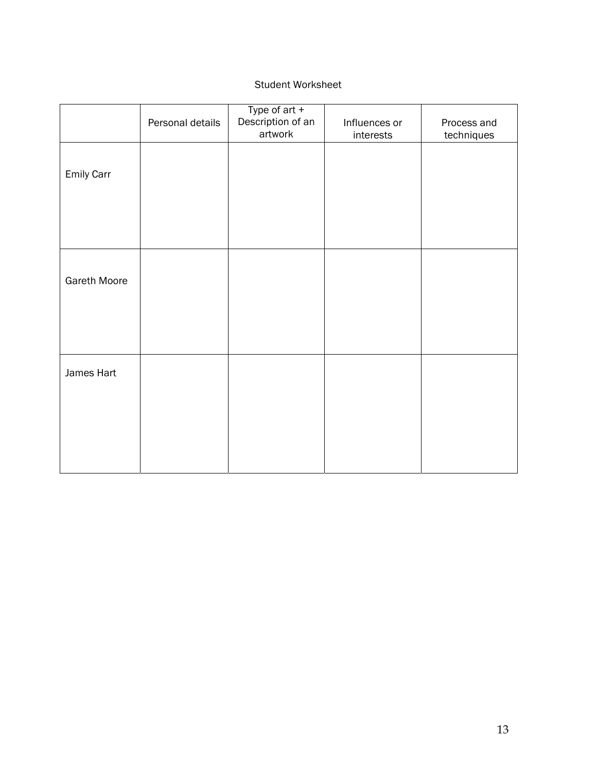### Student Worksheet

|                   | Personal details | Type of $art +$<br>Description of an<br>artwork | Influences or<br>interests | Process and<br>techniques |
|-------------------|------------------|-------------------------------------------------|----------------------------|---------------------------|
| <b>Emily Carr</b> |                  |                                                 |                            |                           |
| Gareth Moore      |                  |                                                 |                            |                           |
| James Hart        |                  |                                                 |                            |                           |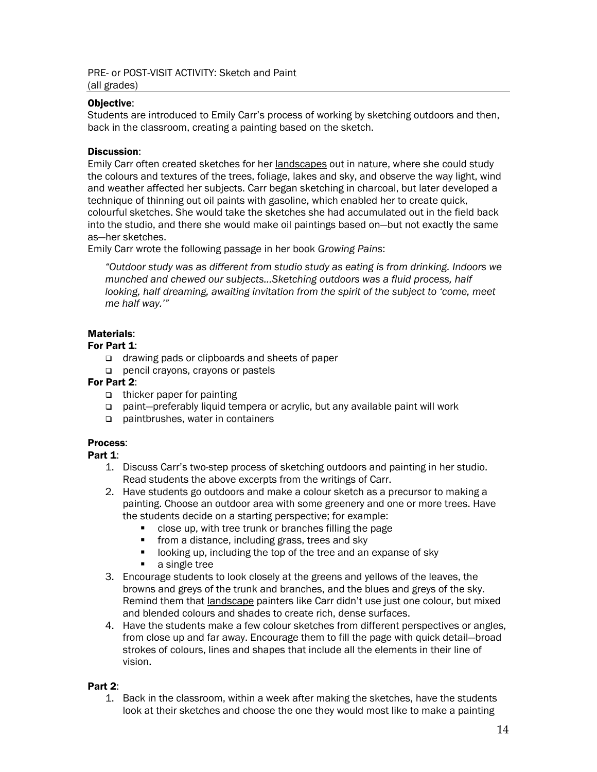PRE- or POST-VISIT ACTIVITY: Sketch and Paint (all grades)

### Objective:

Students are introduced to Emily Carr's process of working by sketching outdoors and then, back in the classroom, creating a painting based on the sketch.

### Discussion:

Emily Carr often created sketches for her **landscapes out in nature**, where she could study the colours and textures of the trees, foliage, lakes and sky, and observe the way light, wind and weather affected her subjects. Carr began sketching in charcoal, but later developed a technique of thinning out oil paints with gasoline, which enabled her to create quick, colourful sketches. She would take the sketches she had accumulated out in the field back into the studio, and there she would make oil paintings based on—but not exactly the same as—her sketches.

Emily Carr wrote the following passage in her book *Growing Pains*:

*"Outdoor study was as different from studio study as eating is from drinking. Indoors we munched and chewed our subjects…Sketching outdoors was a fluid process, half looking, half dreaming, awaiting invitation from the spirit of the subject to 'come, meet me half way.'"* 

### Materials:

### For Part 1:

- □ drawing pads or clipboards and sheets of paper
- pencil crayons, crayons or pastels

### For Part 2:

- $\Box$  thicker paper for painting
- paint—preferably liquid tempera or acrylic, but any available paint will work
- paintbrushes, water in containers

### Process:

### Part 1:

- 1. Discuss Carr's two-step process of sketching outdoors and painting in her studio. Read students the above excerpts from the writings of Carr.
- 2. Have students go outdoors and make a colour sketch as a precursor to making a painting. Choose an outdoor area with some greenery and one or more trees. Have the students decide on a starting perspective; for example:
	- close up, with tree trunk or branches filling the page
	- **from a distance, including grass, trees and sky**
	- **I** looking up, including the top of the tree and an expanse of sky
	- a single tree
- 3. Encourage students to look closely at the greens and yellows of the leaves, the browns and greys of the trunk and branches, and the blues and greys of the sky. Remind them that landscape painters like Carr didn't use just one colour, but mixed and blended colours and shades to create rich, dense surfaces.
- 4. Have the students make a few colour sketches from different perspectives or angles, from close up and far away. Encourage them to fill the page with quick detail—broad strokes of colours, lines and shapes that include all the elements in their line of vision.

### Part 2:

1. Back in the classroom, within a week after making the sketches, have the students look at their sketches and choose the one they would most like to make a painting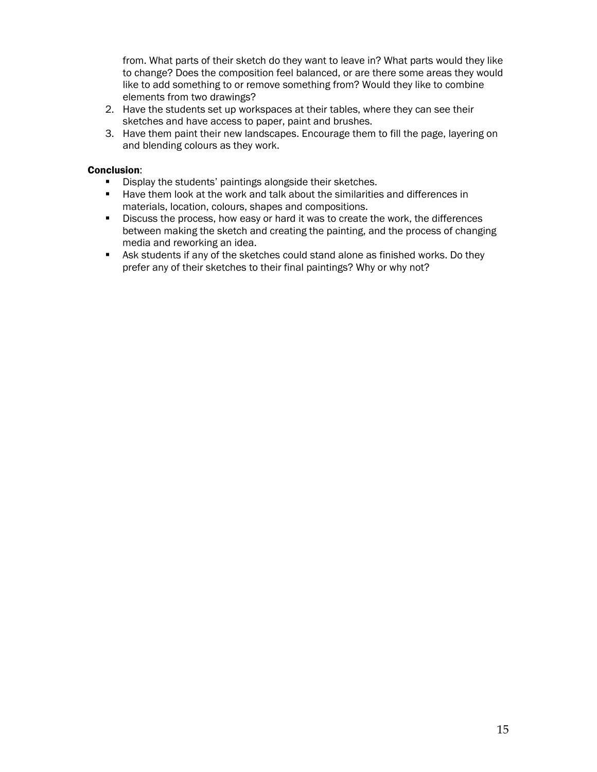from. What parts of their sketch do they want to leave in? What parts would they like to change? Does the composition feel balanced, or are there some areas they would like to add something to or remove something from? Would they like to combine elements from two drawings?

- 2. Have the students set up workspaces at their tables, where they can see their sketches and have access to paper, paint and brushes.
- 3. Have them paint their new landscapes. Encourage them to fill the page, layering on and blending colours as they work.

### Conclusion:

- **Display the students' paintings alongside their sketches.**
- Have them look at the work and talk about the similarities and differences in materials, location, colours, shapes and compositions.
- Discuss the process, how easy or hard it was to create the work, the differences between making the sketch and creating the painting, and the process of changing media and reworking an idea.
- Ask students if any of the sketches could stand alone as finished works. Do they prefer any of their sketches to their final paintings? Why or why not?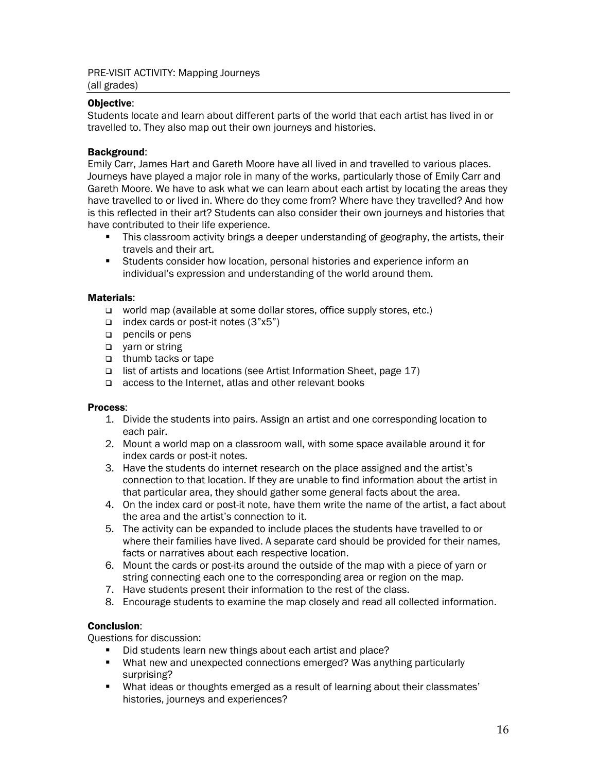### Objective:

Students locate and learn about different parts of the world that each artist has lived in or travelled to. They also map out their own journeys and histories.

### Background:

Emily Carr, James Hart and Gareth Moore have all lived in and travelled to various places. Journeys have played a major role in many of the works, particularly those of Emily Carr and Gareth Moore. We have to ask what we can learn about each artist by locating the areas they have travelled to or lived in. Where do they come from? Where have they travelled? And how is this reflected in their art? Students can also consider their own journeys and histories that have contributed to their life experience.

- **This classroom activity brings a deeper understanding of geography, the artists, their** travels and their art.
- Students consider how location, personal histories and experience inform an individual's expression and understanding of the world around them.

### Materials:

- □ world map (available at some dollar stores, office supply stores, etc.)
- $\Box$  index cards or post-it notes (3"x5")
- pencils or pens
- □ yarn or string
- thumb tacks or tape
- □ list of artists and locations (see Artist Information Sheet, page 17)
- □ access to the Internet, atlas and other relevant books

### Process:

- 1. Divide the students into pairs. Assign an artist and one corresponding location to each pair.
- 2. Mount a world map on a classroom wall, with some space available around it for index cards or post-it notes.
- 3. Have the students do internet research on the place assigned and the artist's connection to that location. If they are unable to find information about the artist in that particular area, they should gather some general facts about the area.
- 4. On the index card or post-it note, have them write the name of the artist, a fact about the area and the artist's connection to it.
- 5. The activity can be expanded to include places the students have travelled to or where their families have lived. A separate card should be provided for their names, facts or narratives about each respective location.
- 6. Mount the cards or post-its around the outside of the map with a piece of yarn or string connecting each one to the corresponding area or region on the map.
- 7. Have students present their information to the rest of the class.
- 8. Encourage students to examine the map closely and read all collected information.

### Conclusion:

Questions for discussion:

- Did students learn new things about each artist and place?
- What new and unexpected connections emerged? Was anything particularly surprising?
- What ideas or thoughts emerged as a result of learning about their classmates' histories, journeys and experiences?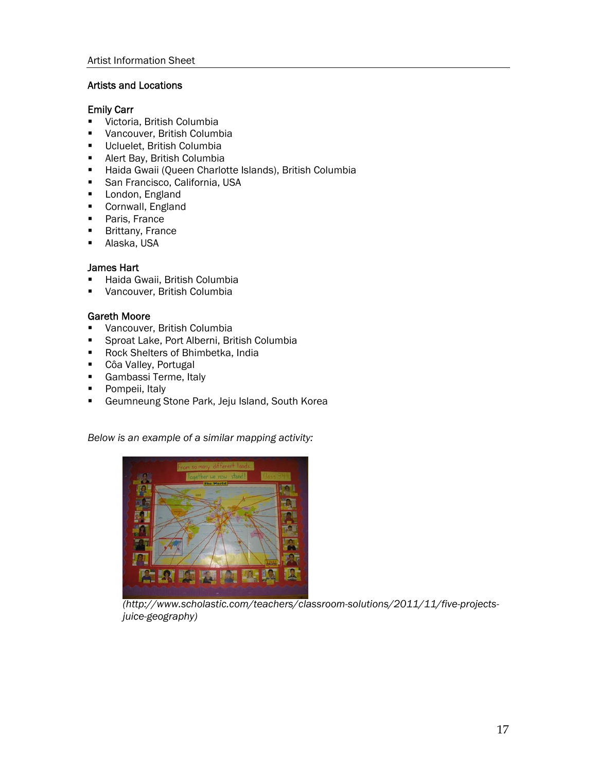### Artists and Locations

### Emily Carr

- Victoria, British Columbia
- **Vancouver, British Columbia**
- **Ucluelet, British Columbia**
- **-** Alert Bay, British Columbia
- **Haida Gwaii (Queen Charlotte Islands), British Columbia**
- **San Francisco, California, USA**
- **London, England**
- **Cornwall, England**
- **Paris, France**
- **Brittany, France**
- Alaska, USA

### James Hart

- **-** Haida Gwaii, British Columbia
- **Vancouver, British Columbia**

### Gareth Moore

- **Vancouver, British Columbia**
- **Sproat Lake, Port Alberni, British Columbia**
- **Rock Shelters of Bhimbetka, India**
- **Côa Valley, Portugal**
- **Gambassi Terme, Italy**
- **Pompeii**, Italy
- **Geumneung Stone Park, Jeju Island, South Korea**

*Below is an example of a similar mapping activity:* 



*(http://www.scholastic.com/teachers/classroom-solutions/2011/11/five-projectsjuice-geography)*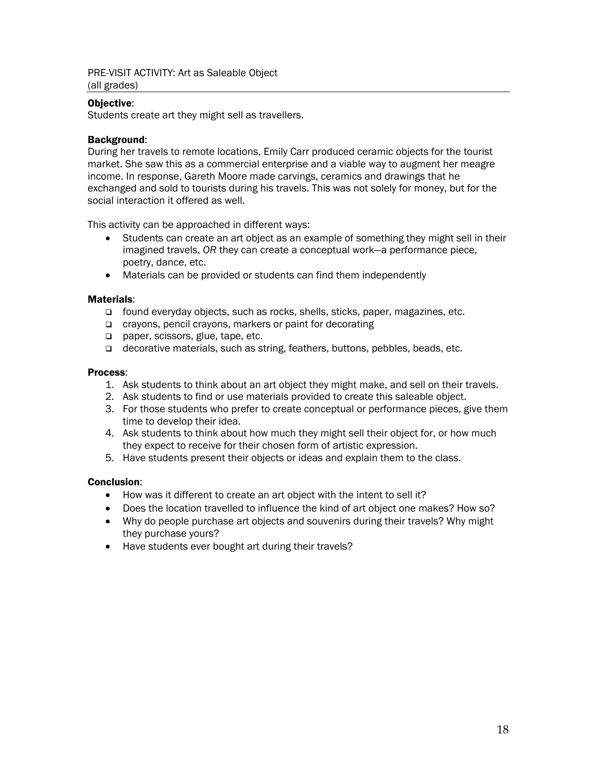### Objective:

Students create art they might sell as travellers.

### Background:

During her travels to remote locations, Emily Carr produced ceramic objects for the tourist market. She saw this as a commercial enterprise and a viable way to augment her meagre income. In response, Gareth Moore made carvings, ceramics and drawings that he exchanged and sold to tourists during his travels. This was not solely for money, but for the social interaction it offered as well.

This activity can be approached in different ways:

- Students can create an art object as an example of something they might sell in their imagined travels, *OR* they can create a conceptual work—a performance piece, poetry, dance, etc.
- Materials can be provided or students can find them independently

### Materials:

- found everyday objects, such as rocks, shells, sticks, paper, magazines, etc.
- crayons, pencil crayons, markers or paint for decorating
- paper, scissors, glue, tape, etc.
- decorative materials, such as string, feathers, buttons, pebbles, beads, etc.

#### Process:

- 1. Ask students to think about an art object they might make, and sell on their travels.
- 2. Ask students to find or use materials provided to create this saleable object.
- 3. For those students who prefer to create conceptual or performance pieces, give them time to develop their idea.
- 4. Ask students to think about how much they might sell their object for, or how much they expect to receive for their chosen form of artistic expression.
- 5. Have students present their objects or ideas and explain them to the class.

### Conclusion:

- How was it different to create an art object with the intent to sell it?
- Does the location travelled to influence the kind of art object one makes? How so?
- Why do people purchase art objects and souvenirs during their travels? Why might they purchase yours?
- Have students ever bought art during their travels?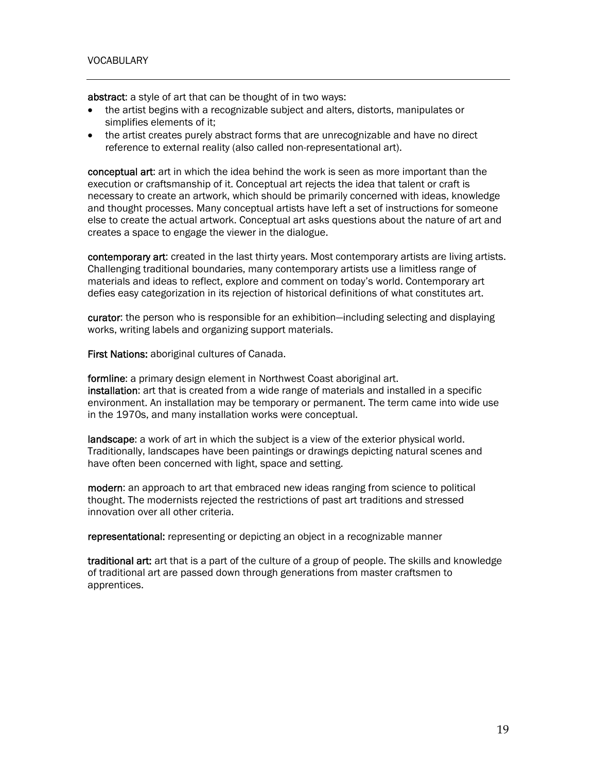abstract: a style of art that can be thought of in two ways:

- the artist begins with a recognizable subject and alters, distorts, manipulates or simplifies elements of it;
- the artist creates purely abstract forms that are unrecognizable and have no direct reference to external reality (also called non-representational art).

conceptual art: art in which the idea behind the work is seen as more important than the execution or craftsmanship of it. Conceptual art rejects the idea that talent or craft is necessary to create an artwork, which should be primarily concerned with ideas, knowledge and thought processes. Many conceptual artists have left a set of instructions for someone else to create the actual artwork. Conceptual art asks questions about the nature of art and creates a space to engage the viewer in the dialogue.

contemporary art: created in the last thirty years. Most contemporary artists are living artists. Challenging traditional boundaries, many contemporary artists use a limitless range of materials and ideas to reflect, explore and comment on today's world. Contemporary art defies easy categorization in its rejection of historical definitions of what constitutes art.

curator: the person who is responsible for an exhibition—including selecting and displaying works, writing labels and organizing support materials.

First Nations: aboriginal cultures of Canada.

formline: a primary design element in Northwest Coast aboriginal art. installation: art that is created from a wide range of materials and installed in a specific environment. An installation may be temporary or permanent. The term came into wide use in the 1970s, and many installation works were conceptual.

landscape: a work of art in which the subject is a view of the exterior physical world. Traditionally, landscapes have been paintings or drawings depicting natural scenes and have often been concerned with light, space and setting.

modern: an approach to art that embraced new ideas ranging from science to political thought. The modernists rejected the restrictions of past art traditions and stressed innovation over all other criteria.

representational: representing or depicting an object in a recognizable manner

traditional art: art that is a part of the culture of a group of people. The skills and knowledge of traditional art are passed down through generations from master craftsmen to apprentices.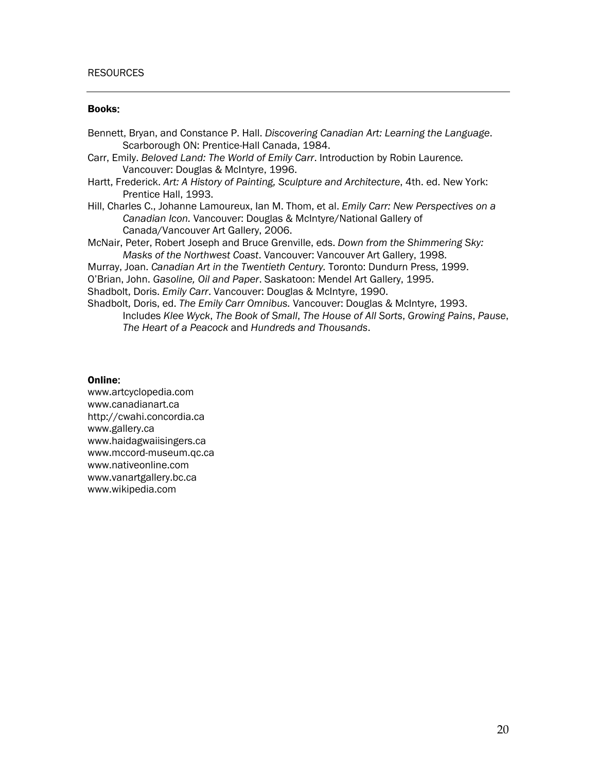#### RESOURCES

#### Books:

| Bennett, Bryan, and Constance P. Hall. Discovering Canadian Art: Learning the Language. |
|-----------------------------------------------------------------------------------------|
| Scarborough ON: Prentice-Hall Canada, 1984.                                             |

- Carr, Emily. *Beloved Land: The World of Emily Carr*. Introduction by Robin Laurence*.*  Vancouver: Douglas & McIntyre, 1996.
- Hartt, Frederick. *Art: A History of Painting, Sculpture and Architecture*, 4th. ed. New York: Prentice Hall, 1993.
- Hill, Charles C., Johanne Lamoureux, Ian M. Thom, et al. *Emily Carr: New Perspectives on a Canadian Icon.* Vancouver: Douglas & McIntyre/National Gallery of Canada/Vancouver Art Gallery, 2006.
- McNair, Peter, Robert Joseph and Bruce Grenville, eds. *Down from the Shimmering Sky: Masks of the Northwest Coast*. Vancouver: Vancouver Art Gallery, 1998.
- Murray, Joan. *Canadian Art in the Twentieth Century.* Toronto: Dundurn Press, 1999.
- O'Brian, John. *Gasoline, Oil and Paper*. Saskatoon: Mendel Art Gallery, 1995.
- Shadbolt, Doris. *Emily Carr*. Vancouver: Douglas & McIntyre, 1990.
- Shadbolt, Doris, ed. *The Emily Carr Omnibus.* Vancouver: Douglas & McIntyre, 1993. Includes *Klee Wyck*, *The Book of Small*, *The House of All Sorts*, *Growing Pains*, *Pause*, *The Heart of a Peacock* and *Hundreds and Thousands*.

#### Online:

www.artcyclopedia.com www.canadianart.ca http://cwahi.concordia.ca www.gallery.ca www.haidagwaiisingers.ca www.mccord-museum.qc.ca www.nativeonline.com www.vanartgallery.bc.ca www.wikipedia.com